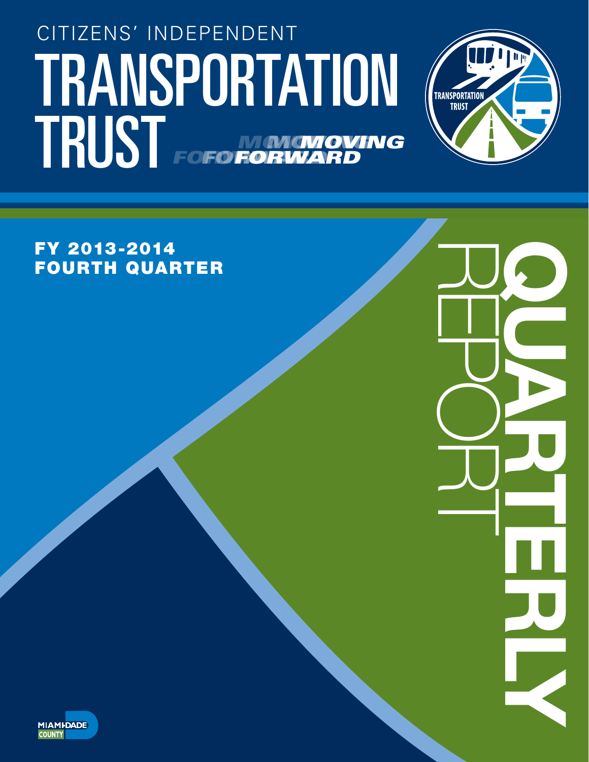# TRANSPORTATION (TRANSPORTATION CITIZENS' INDEPENDENT TRUST FOFO NONGNOVING *FORWARD MOVING* **FORWA** *MOVING* **FOFO FORV**



REPORT QUARTERLY

FY 2013-2014 FOURTH QUARTER

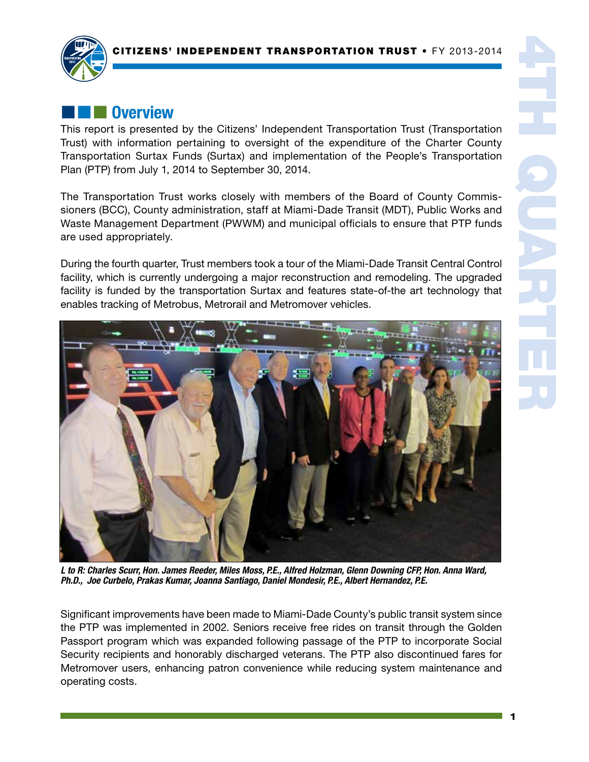

# **External Overview**

This report is presented by the Citizens' Independent Transportation Trust (Transportation Trust) with information pertaining to oversight of the expenditure of the Charter County Transportation Surtax Funds (Surtax) and implementation of the People's Transportation Plan (PTP) from July 1, 2014 to September 30, 2014.

The Transportation Trust works closely with members of the Board of County Commissioners (BCC), County administration, staff at Miami-Dade Transit (MDT), Public Works and Waste Management Department (PWWM) and municipal officials to ensure that PTP funds are used appropriately.

During the fourth quarter, Trust members took a tour of the Miami-Dade Transit Central Control facility, which is currently undergoing a major reconstruction and remodeling. The upgraded facility is funded by the transportation Surtax and features state-of-the art technology that enables tracking of Metrobus, Metrorail and Metromover vehicles.



*L to R: Charles Scurr, Hon. James Reeder, Miles Moss, P.E., Alfred Holzman, Glenn Downing CFP, Hon. Anna Ward, Ph.D., Joe Curbelo, Prakas Kumar, Joanna Santiago, Daniel Mondesir, P.E., Albert Hernandez, P.E.*

Significant improvements have been made to Miami-Dade County's public transit system since the PTP was implemented in 2002. Seniors receive free rides on transit through the Golden Passport program which was expanded following passage of the PTP to incorporate Social Security recipients and honorably discharged veterans. The PTP also discontinued fares for Metromover users, enhancing patron convenience while reducing system maintenance and operating costs.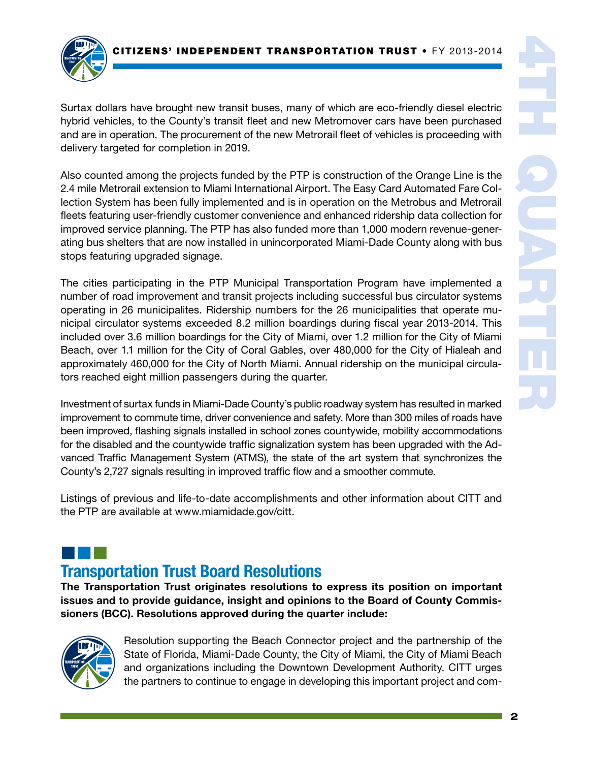

Surtax dollars have brought new transit buses, many of which are eco-friendly diesel electric hybrid vehicles, to the County's transit fleet and new Metromover cars have been purchased and are in operation. The procurement of the new Metrorail fleet of vehicles is proceeding with delivery targeted for completion in 2019.

Also counted among the projects funded by the PTP is construction of the Orange Line is the 2.4 mile Metrorail extension to Miami International Airport. The Easy Card Automated Fare Collection System has been fully implemented and is in operation on the Metrobus and Metrorail fleets featuring user-friendly customer convenience and enhanced ridership data collection for improved service planning. The PTP has also funded more than 1,000 modern revenue-generating bus shelters that are now installed in unincorporated Miami-Dade County along with bus stops featuring upgraded signage.

The cities participating in the PTP Municipal Transportation Program have implemented a number of road improvement and transit projects including successful bus circulator systems operating in 26 municipalites. Ridership numbers for the 26 municipalities that operate municipal circulator systems exceeded 8.2 million boardings during fiscal year 2013-2014. This included over 3.6 million boardings for the City of Miami, over 1.2 million for the City of Miami Beach, over 1.1 million for the City of Coral Gables, over 480,000 for the City of Hialeah and approximately 460,000 for the City of North Miami. Annual ridership on the municipal circulators reached eight million passengers during the quarter.

Investment of surtax funds in Miami-Dade County's public roadway system has resulted in marked improvement to commute time, driver convenience and safety. More than 300 miles of roads have been improved, flashing signals installed in school zones countywide, mobility accommodations for the disabled and the countywide traffic signalization system has been upgraded with the Advanced Traffic Management System (ATMS), the state of the art system that synchronizes the County's 2,727 signals resulting in improved traffic flow and a smoother commute.

Listings of previous and life-to-date accomplishments and other information about CITT and the PTP are available at www.miamidade.gov/citt.

## ¢¢¢ Transportation Trust Board Resolutions

The Transportation Trust originates resolutions to express its position on important issues and to provide guidance, insight and opinions to the Board of County Commissioners (BCC). Resolutions approved during the quarter include:



Resolution supporting the Beach Connector project and the partnership of the State of Florida, Miami-Dade County, the City of Miami, the City of Miami Beach and organizations including the Downtown Development Authority. CITT urges the partners to continue to engage in developing this important project and com-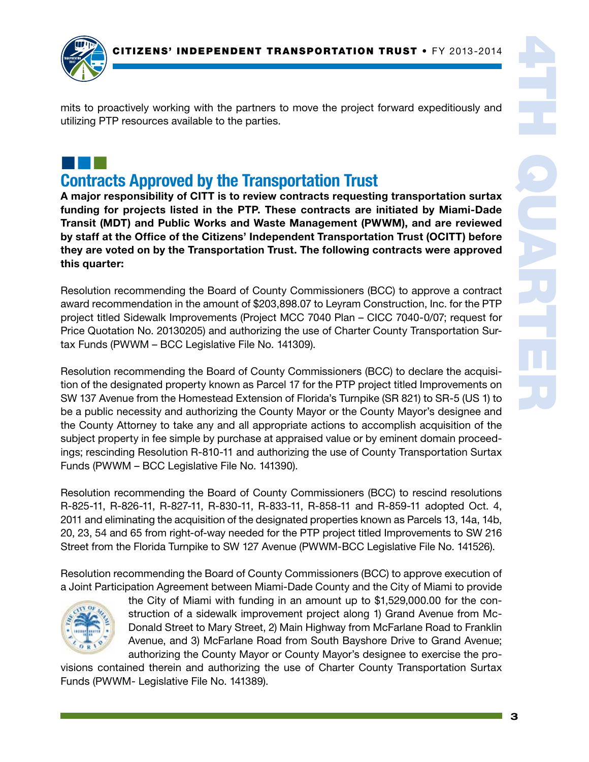

mits to proactively working with the partners to move the project forward expeditiously and utilizing PTP resources available to the parties.

¢¢¢

Contracts Approved by the Transportation Trust

A major responsibility of CITT is to review contracts requesting transportation surtax funding for projects listed in the PTP. These contracts are initiated by Miami-Dade Transit (MDT) and Public Works and Waste Management (PWWM), and are reviewed by staff at the Office of the Citizens' Independent Transportation Trust (OCITT) before they are voted on by the Transportation Trust. The following contracts were approved this quarter:

Resolution recommending the Board of County Commissioners (BCC) to approve a contract award recommendation in the amount of \$203,898.07 to Leyram Construction, Inc. for the PTP project titled Sidewalk Improvements (Project MCC 7040 Plan – CICC 7040-0/07; request for Price Quotation No. 20130205) and authorizing the use of Charter County Transportation Surtax Funds (PWWM – BCC Legislative File No. 141309).

Resolution recommending the Board of County Commissioners (BCC) to declare the acquisition of the designated property known as Parcel 17 for the PTP project titled Improvements on SW 137 Avenue from the Homestead Extension of Florida's Turnpike (SR 821) to SR-5 (US 1) to be a public necessity and authorizing the County Mayor or the County Mayor's designee and the County Attorney to take any and all appropriate actions to accomplish acquisition of the subject property in fee simple by purchase at appraised value or by eminent domain proceedings; rescinding Resolution R-810-11 and authorizing the use of County Transportation Surtax Funds (PWWM – BCC Legislative File No. 141390).

Resolution recommending the Board of County Commissioners (BCC) to rescind resolutions R-825-11, R-826-11, R-827-11, R-830-11, R-833-11, R-858-11 and R-859-11 adopted Oct. 4, 2011 and eliminating the acquisition of the designated properties known as Parcels 13, 14a, 14b, 20, 23, 54 and 65 from right-of-way needed for the PTP project titled Improvements to SW 216 Street from the Florida Turnpike to SW 127 Avenue (PWWM-BCC Legislative File No. 141526).

Resolution recommending the Board of County Commissioners (BCC) to approve execution of a Joint Participation Agreement between Miami-Dade County and the City of Miami to provide



the City of Miami with funding in an amount up to \$1,529,000.00 for the construction of a sidewalk improvement project along 1) Grand Avenue from Mc-Donald Street to Mary Street, 2) Main Highway from McFarlane Road to Franklin Avenue, and 3) McFarlane Road from South Bayshore Drive to Grand Avenue; authorizing the County Mayor or County Mayor's designee to exercise the pro-

visions contained therein and authorizing the use of Charter County Transportation Surtax Funds (PWWM- Legislative File No. 141389).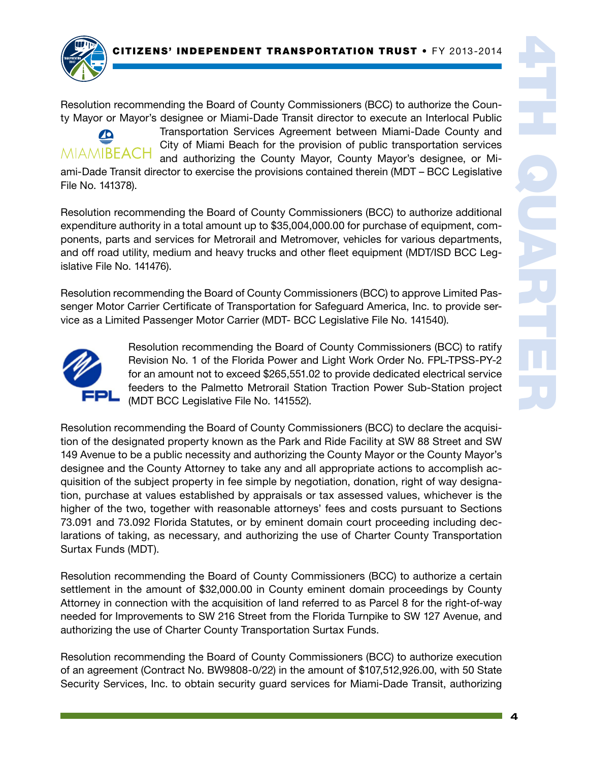

Resolution recommending the Board of County Commissioners (BCC) to authorize the County Mayor or Mayor's designee or Miami-Dade Transit director to execute an Interlocal Public



Transportation Services Agreement between Miami-Dade County and City of Miami Beach for the provision of public transportation services and authorizing the County Mayor, County Mayor's designee, or Mi-

ami-Dade Transit director to exercise the provisions contained therein (MDT – BCC Legislative File No. 141378).

Resolution recommending the Board of County Commissioners (BCC) to authorize additional expenditure authority in a total amount up to \$35,004,000.00 for purchase of equipment, components, parts and services for Metrorail and Metromover, vehicles for various departments, and off road utility, medium and heavy trucks and other fleet equipment (MDT/ISD BCC Legislative File No. 141476).

Resolution recommending the Board of County Commissioners (BCC) to approve Limited Passenger Motor Carrier Certificate of Transportation for Safeguard America, Inc. to provide service as a Limited Passenger Motor Carrier (MDT- BCC Legislative File No. 141540).



Resolution recommending the Board of County Commissioners (BCC) to ratify Revision No. 1 of the Florida Power and Light Work Order No. FPL-TPSS-PY-2 for an amount not to exceed \$265,551.02 to provide dedicated electrical service feeders to the Palmetto Metrorail Station Traction Power Sub-Station project (MDT BCC Legislative File No. 141552).

Resolution recommending the Board of County Commissioners (BCC) to declare the acquisition of the designated property known as the Park and Ride Facility at SW 88 Street and SW 149 Avenue to be a public necessity and authorizing the County Mayor or the County Mayor's designee and the County Attorney to take any and all appropriate actions to accomplish acquisition of the subject property in fee simple by negotiation, donation, right of way designation, purchase at values established by appraisals or tax assessed values, whichever is the higher of the two, together with reasonable attorneys' fees and costs pursuant to Sections 73.091 and 73.092 Florida Statutes, or by eminent domain court proceeding including declarations of taking, as necessary, and authorizing the use of Charter County Transportation Surtax Funds (MDT).

Resolution recommending the Board of County Commissioners (BCC) to authorize a certain settlement in the amount of \$32,000.00 in County eminent domain proceedings by County Attorney in connection with the acquisition of land referred to as Parcel 8 for the right-of-way needed for Improvements to SW 216 Street from the Florida Turnpike to SW 127 Avenue, and authorizing the use of Charter County Transportation Surtax Funds.

Resolution recommending the Board of County Commissioners (BCC) to authorize execution of an agreement (Contract No. BW9808-0/22) in the amount of \$107,512,926.00, with 50 State Security Services, Inc. to obtain security guard services for Miami-Dade Transit, authorizing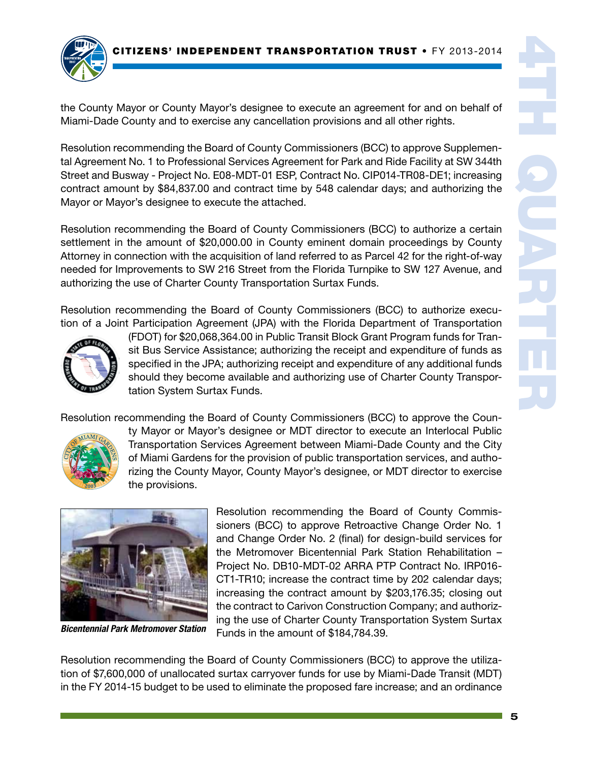

the County Mayor or County Mayor's designee to execute an agreement for and on behalf of Miami-Dade County and to exercise any cancellation provisions and all other rights.

Resolution recommending the Board of County Commissioners (BCC) to approve Supplemental Agreement No. 1 to Professional Services Agreement for Park and Ride Facility at SW 344th Street and Busway - Project No. E08-MDT-01 ESP, Contract No. CIP014-TR08-DE1; increasing contract amount by \$84,837.00 and contract time by 548 calendar days; and authorizing the Mayor or Mayor's designee to execute the attached.

Resolution recommending the Board of County Commissioners (BCC) to authorize a certain settlement in the amount of \$20,000.00 in County eminent domain proceedings by County Attorney in connection with the acquisition of land referred to as Parcel 42 for the right-of-way needed for Improvements to SW 216 Street from the Florida Turnpike to SW 127 Avenue, and authorizing the use of Charter County Transportation Surtax Funds.

Resolution recommending the Board of County Commissioners (BCC) to authorize execution of a Joint Participation Agreement (JPA) with the Florida Department of Transportation



(FDOT) for \$20,068,364.00 in Public Transit Block Grant Program funds for Transit Bus Service Assistance; authorizing the receipt and expenditure of funds as specified in the JPA; authorizing receipt and expenditure of any additional funds should they become available and authorizing use of Charter County Transportation System Surtax Funds.

Resolution recommending the Board of County Commissioners (BCC) to approve the Coun-



ty Mayor or Mayor's designee or MDT director to execute an Interlocal Public Transportation Services Agreement between Miami-Dade County and the City of Miami Gardens for the provision of public transportation services, and authorizing the County Mayor, County Mayor's designee, or MDT director to exercise the provisions.



*Bicentennial Park Metromover Station*

Resolution recommending the Board of County Commissioners (BCC) to approve Retroactive Change Order No. 1 and Change Order No. 2 (final) for design-build services for the Metromover Bicentennial Park Station Rehabilitation – Project No. DB10-MDT-02 ARRA PTP Contract No. IRP016- CT1-TR10; increase the contract time by 202 calendar days; increasing the contract amount by \$203,176.35; closing out the contract to Carivon Construction Company; and authorizing the use of Charter County Transportation System Surtax Funds in the amount of \$184,784.39.

Resolution recommending the Board of County Commissioners (BCC) to approve the utilization of \$7,600,000 of unallocated surtax carryover funds for use by Miami-Dade Transit (MDT) in the FY 2014-15 budget to be used to eliminate the proposed fare increase; and an ordinance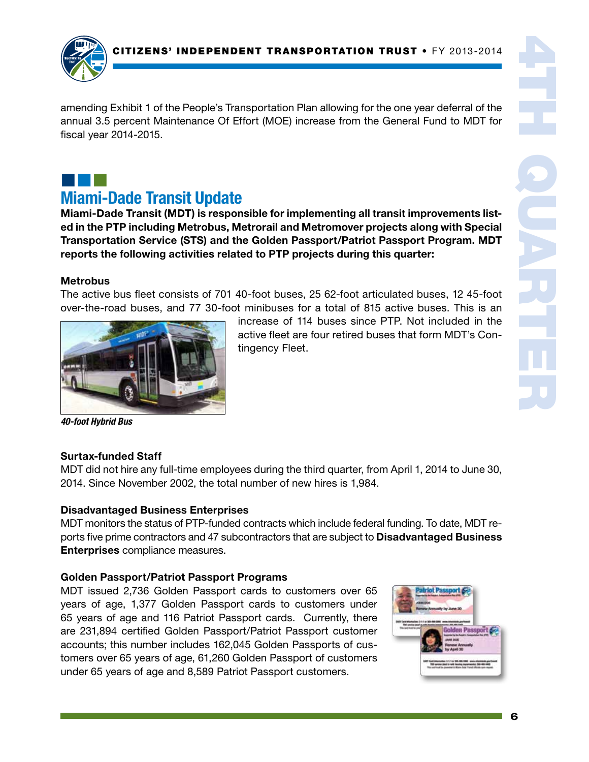amending Exhibit 1 of the People's Transportation Plan allowing for the one year deferral of the annual 3.5 percent Maintenance Of Effort (MOE) increase from the General Fund to MDT for fiscal year 2014-2015.

# ¢¢¢

## Miami-Dade Transit Update

Miami-Dade Transit (MDT) is responsible for implementing all transit improvements listed in the PTP including Metrobus, Metrorail and Metromover projects along with Special Transportation Service (STS) and the Golden Passport/Patriot Passport Program. MDT reports the following activities related to PTP projects during this quarter:

### **Metrobus**

The active bus fleet consists of 701 40-foot buses, 25 62-foot articulated buses, 12 45-foot over-the-road buses, and 77 30-foot minibuses for a total of 815 active buses. This is an



increase of 114 buses since PTP. Not included in the active fleet are four retired buses that form MDT's Contingency Fleet.

*40-foot Hybrid Bus*

### Surtax-funded Staff

MDT did not hire any full-time employees during the third quarter, from April 1, 2014 to June 30, 2014. Since November 2002, the total number of new hires is 1,984.

## Disadvantaged Business Enterprises

MDT monitors the status of PTP-funded contracts which include federal funding. To date, MDT reports five prime contractors and 47 subcontractors that are subject to **Disadvantaged Business** Enterprises compliance measures.

## Golden Passport/Patriot Passport Programs

MDT issued 2,736 Golden Passport cards to customers over 65 years of age, 1,377 Golden Passport cards to customers under 65 years of age and 116 Patriot Passport cards. Currently, there are 231,894 certified Golden Passport/Patriot Passport customer accounts; this number includes 162,045 Golden Passports of customers over 65 years of age, 61,260 Golden Passport of customers under 65 years of age and 8,589 Patriot Passport customers.

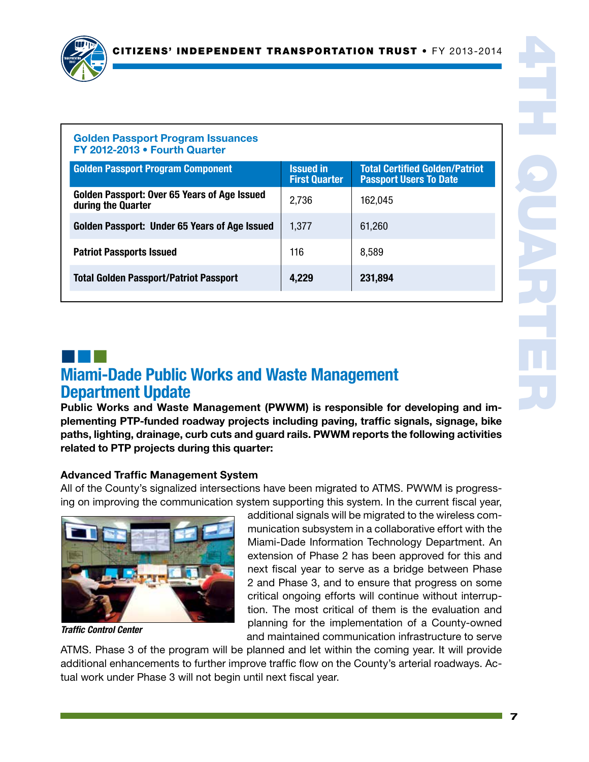

#### Golden Passport Program Issuances FY 2012-2013 • Fourth Quarter

| <b>Golden Passport Program Component</b>                           | <b>Issued in</b><br><b>First Quarter</b> | <b>Total Certified Golden/Patriot</b><br><b>Passport Users To Date</b> |
|--------------------------------------------------------------------|------------------------------------------|------------------------------------------------------------------------|
| Golden Passport: Over 65 Years of Age Issued<br>during the Quarter | 2,736                                    | 162,045                                                                |
| Golden Passport: Under 65 Years of Age Issued                      | 1,377                                    | 61,260                                                                 |
| <b>Patriot Passports Issued</b>                                    | 116                                      | 8,589                                                                  |
| <b>Total Golden Passport/Patriot Passport</b>                      | 4,229                                    | 231,894                                                                |

## ¢¢¢ Miami-Dade Public Works and Waste Management Department Update

Public Works and Waste Management (PWWM) is responsible for developing and implementing PTP-funded roadway projects including paving, traffic signals, signage, bike paths, lighting, drainage, curb cuts and guard rails. PWWM reports the following activities related to PTP projects during this quarter:

## Advanced Traffic Management System

All of the County's signalized intersections have been migrated to ATMS. PWWM is progressing on improving the communication system supporting this system. In the current fiscal year,



*Traffic Control Center*

additional signals will be migrated to the wireless communication subsystem in a collaborative effort with the Miami-Dade Information Technology Department. An extension of Phase 2 has been approved for this and next fiscal year to serve as a bridge between Phase 2 and Phase 3, and to ensure that progress on some critical ongoing efforts will continue without interruption. The most critical of them is the evaluation and planning for the implementation of a County-owned and maintained communication infrastructure to serve

ATMS. Phase 3 of the program will be planned and let within the coming year. It will provide additional enhancements to further improve traffic flow on the County's arterial roadways. Actual work under Phase 3 will not begin until next fiscal year.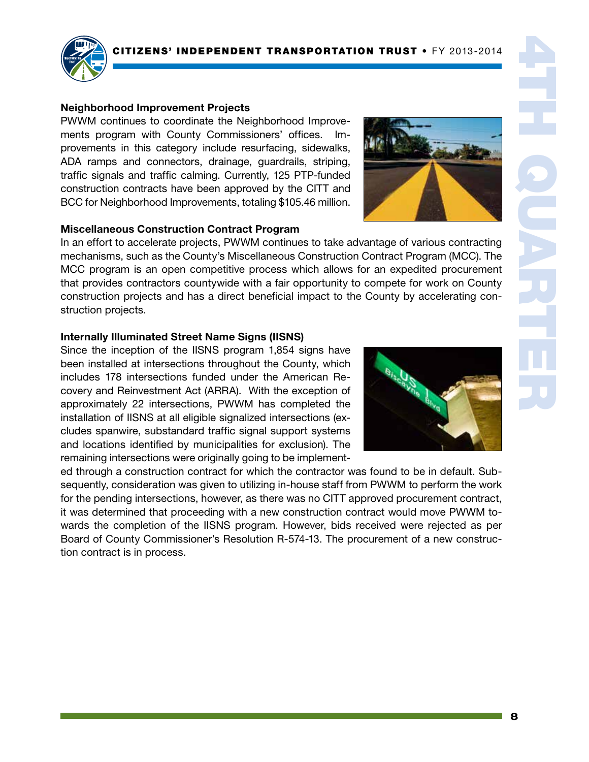

#### Neighborhood Improvement Projects

PWWM continues to coordinate the Neighborhood Improvements program with County Commissioners' offices. provements in this category include resurfacing, sidewalks, ADA ramps and connectors, drainage, guardrails, striping, traffic signals and traffic calming. Currently, 125 PTP-funded construction contracts have been approved by the CITT and BCC for Neighborhood Improvements, totaling \$105.46 million.

#### Miscellaneous Construction Contract Program

In an effort to accelerate projects, PWWM continues to take advantage of various contracting mechanisms, such as the County's Miscellaneous Construction Contract Program (MCC). The MCC program is an open competitive process which allows for an expedited procurement that provides contractors countywide with a fair opportunity to compete for work on County construction projects and has a direct beneficial impact to the County by accelerating construction projects.

#### Internally Illuminated Street Name Signs (IISNS)

Since the inception of the IISNS program 1,854 signs have been installed at intersections throughout the County, which includes 178 intersections funded under the American Recovery and Reinvestment Act (ARRA). With the exception of approximately 22 intersections, PWWM has completed the installation of IISNS at all eligible signalized intersections (excludes spanwire, substandard traffic signal support systems and locations identified by municipalities for exclusion). The remaining intersections were originally going to be implement-

ed through a construction contract for which the contractor was found to be in default. Subsequently, consideration was given to utilizing in-house staff from PWWM to perform the work for the pending intersections, however, as there was no CITT approved procurement contract, it was determined that proceeding with a new construction contract would move PWWM towards the completion of the IISNS program. However, bids received were rejected as per Board of County Commissioner's Resolution R-574-13. The procurement of a new construction contract is in process.





4TH QUARTER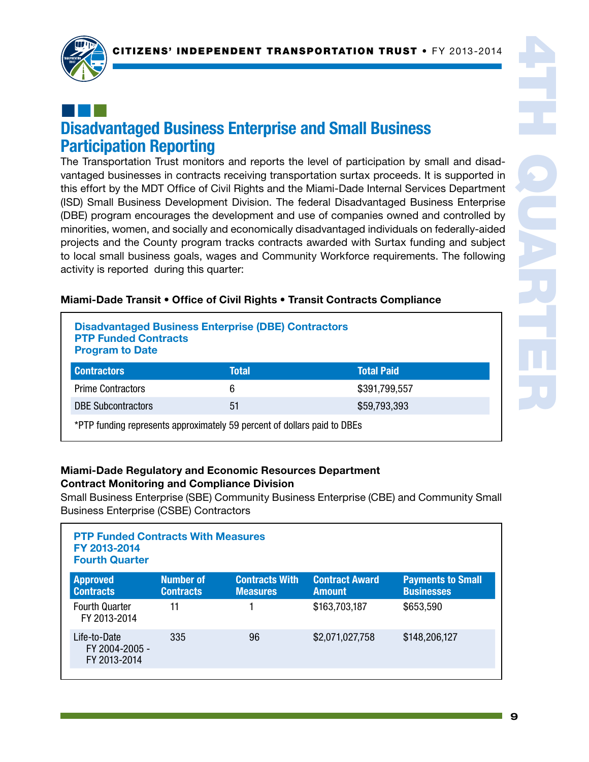

## ¢¢¢ Disadvantaged Business Enterprise and Small Business Participation Reporting

The Transportation Trust monitors and reports the level of participation by small and disadvantaged businesses in contracts receiving transportation surtax proceeds. It is supported in this effort by the MDT Office of Civil Rights and the Miami-Dade Internal Services Department (ISD) Small Business Development Division. The federal Disadvantaged Business Enterprise (DBE) program encourages the development and use of companies owned and controlled by minorities, women, and socially and economically disadvantaged individuals on federally-aided projects and the County program tracks contracts awarded with Surtax funding and subject to local small business goals, wages and Community Workforce requirements. The following activity is reported during this quarter:

| <b>Disadvantaged Business Enterprise (DBE) Contractors</b><br><b>PTP Funded Contracts</b><br><b>Program to Date</b> |              |                   |  |  |
|---------------------------------------------------------------------------------------------------------------------|--------------|-------------------|--|--|
| <b>Contractors</b>                                                                                                  | <b>Total</b> | <b>Total Paid</b> |  |  |
| <b>Prime Contractors</b>                                                                                            | 6            | \$391,799,557     |  |  |
| <b>DBE Subcontractors</b>                                                                                           | 51           | \$59,793,393      |  |  |
| *PTP funding represents approximately 59 percent of dollars paid to DBEs                                            |              |                   |  |  |

### Miami-Dade Transit • Office of Civil Rights • Transit Contracts Compliance

### Miami-Dade Regulatory and Economic Resources Department Contract Monitoring and Compliance Division

Small Business Enterprise (SBE) Community Business Enterprise (CBE) and Community Small Business Enterprise (CSBE) Contractors

| <b>PTP Funded Contracts With Measures</b><br>FY 2013-2014<br><b>Fourth Quarter</b> |                                      |                                          |                                        |                                               |  |
|------------------------------------------------------------------------------------|--------------------------------------|------------------------------------------|----------------------------------------|-----------------------------------------------|--|
| <b>Approved</b><br><b>Contracts</b>                                                | <b>Number of</b><br><b>Contracts</b> | <b>Contracts With</b><br><b>Measures</b> | <b>Contract Award</b><br><b>Amount</b> | <b>Payments to Small</b><br><b>Businesses</b> |  |
| <b>Fourth Quarter</b><br>FY 2013-2014                                              | 11                                   |                                          | \$163,703,187                          | \$653,590                                     |  |
| Life-to-Date<br>FY 2004-2005 -<br>FY 2013-2014                                     | 335                                  | 96                                       | \$2,071,027,758                        | \$148,206,127                                 |  |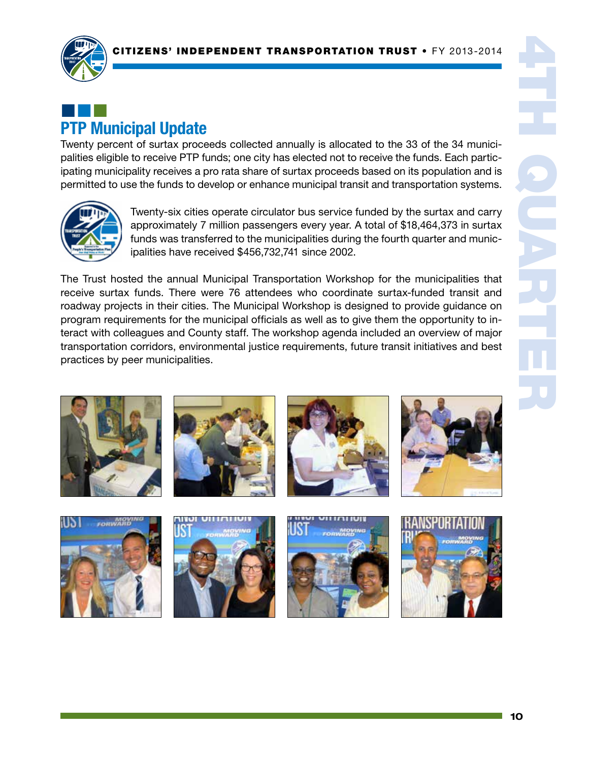

# ¢¢¢ PTP Municipal Update

Twenty percent of surtax proceeds collected annually is allocated to the 33 of the 34 municipalities eligible to receive PTP funds; one city has elected not to receive the funds. Each participating municipality receives a pro rata share of surtax proceeds based on its population and is permitted to use the funds to develop or enhance municipal transit and transportation systems.



Twenty-six cities operate circulator bus service funded by the surtax and carry approximately 7 million passengers every year. A total of \$18,464,373 in surtax funds was transferred to the municipalities during the fourth quarter and municipalities have received \$456,732,741 since 2002.

The Trust hosted the annual Municipal Transportation Workshop for the municipalities that receive surtax funds. There were 76 attendees who coordinate surtax-funded transit and roadway projects in their cities. The Municipal Workshop is designed to provide guidance on program requirements for the municipal officials as well as to give them the opportunity to interact with colleagues and County staff. The workshop agenda included an overview of major transportation corridors, environmental justice requirements, future transit initiatives and best practices by peer municipalities.









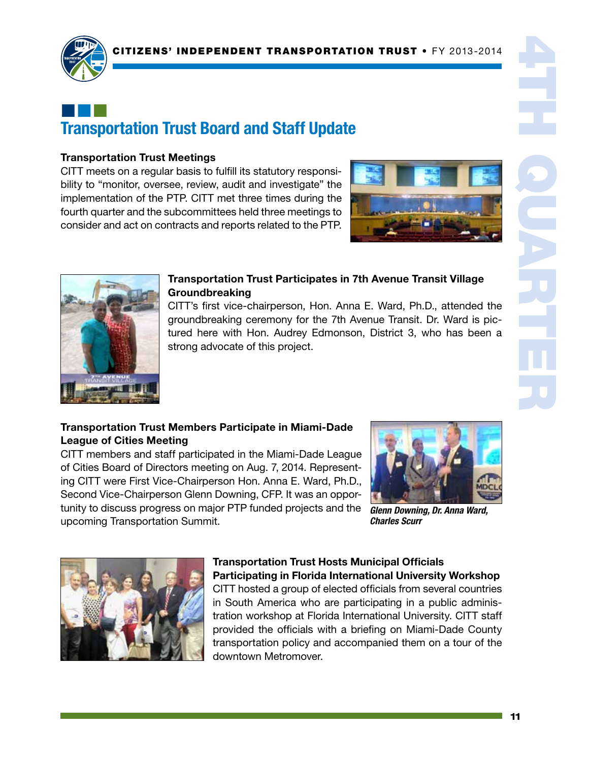

## ¢¢¢ Transportation Trust Board and Staff Update

#### Transportation Trust Meetings

CITT meets on a regular basis to fulfill its statutory responsibility to "monitor, oversee, review, audit and investigate" the implementation of the PTP. CITT met three times during the fourth quarter and the subcommittees held three meetings to consider and act on contracts and reports related to the PTP.





#### Transportation Trust Participates in 7th Avenue Transit Village Groundbreaking

CITT's first vice-chairperson, Hon. Anna E. Ward, Ph.D., attended the groundbreaking ceremony for the 7th Avenue Transit. Dr. Ward is pictured here with Hon. Audrey Edmonson, District 3, who has been a strong advocate of this project.

### Transportation Trust Members Participate in Miami-Dade League of Cities Meeting

CITT members and staff participated in the Miami-Dade League of Cities Board of Directors meeting on Aug. 7, 2014. Representing CITT were First Vice-Chairperson Hon. Anna E. Ward, Ph.D., Second Vice-Chairperson Glenn Downing, CFP. It was an opportunity to discuss progress on major PTP funded projects and the upcoming Transportation Summit.



*Glenn Downing, Dr. Anna Ward, Charles Scurr*



## Transportation Trust Hosts Municipal Officials

Participating in Florida International University Workshop CITT hosted a group of elected officials from several countries in South America who are participating in a public administration workshop at Florida International University. CITT staff provided the officials with a briefing on Miami-Dade County transportation policy and accompanied them on a tour of the downtown Metromover.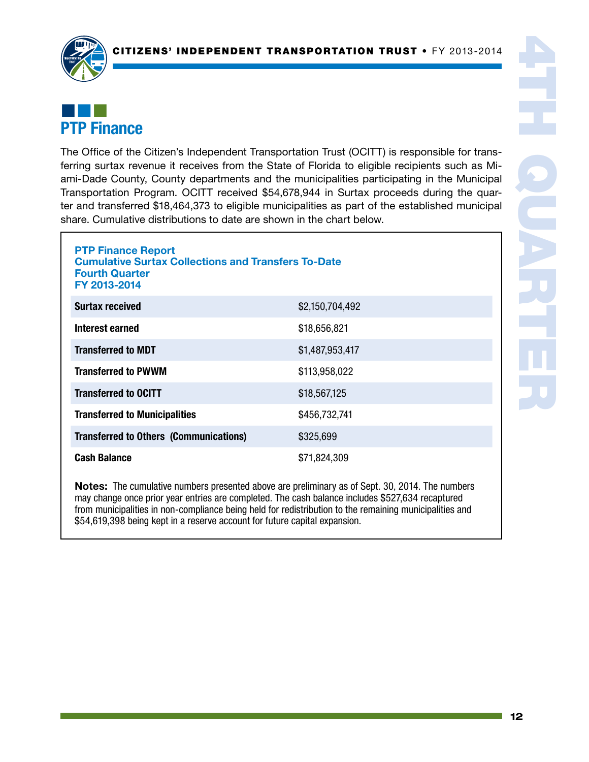

## ¢¢¢ PTP Finance

The Office of the Citizen's Independent Transportation Trust (OCITT) is responsible for transferring surtax revenue it receives from the State of Florida to eligible recipients such as Miami-Dade County, County departments and the municipalities participating in the Municipal Transportation Program. OCITT received \$54,678,944 in Surtax proceeds during the quarter and transferred \$18,464,373 to eligible municipalities as part of the established municipal share. Cumulative distributions to date are shown in the chart below.

| <b>PTP Finance Report</b><br><b>Cumulative Surtax Collections and Transfers To-Date</b><br><b>Fourth Quarter</b><br>FY 2013-2014 |                 |  |  |  |
|----------------------------------------------------------------------------------------------------------------------------------|-----------------|--|--|--|
| <b>Surtax received</b>                                                                                                           | \$2,150,704,492 |  |  |  |
| Interest earned                                                                                                                  | \$18,656,821    |  |  |  |
| <b>Transferred to MDT</b>                                                                                                        | \$1,487,953,417 |  |  |  |
| <b>Transferred to PWWM</b>                                                                                                       | \$113,958,022   |  |  |  |
| <b>Transferred to OCITT</b>                                                                                                      | \$18,567,125    |  |  |  |
| <b>Transferred to Municipalities</b>                                                                                             | \$456,732,741   |  |  |  |
| <b>Transferred to Others (Communications)</b>                                                                                    | \$325,699       |  |  |  |
| <b>Cash Balance</b>                                                                                                              | \$71,824,309    |  |  |  |

Notes: The cumulative numbers presented above are preliminary as of Sept. 30, 2014. The numbers may change once prior year entries are completed. The cash balance includes \$527,634 recaptured from municipalities in non-compliance being held for redistribution to the remaining municipalities and \$54,619,398 being kept in a reserve account for future capital expansion.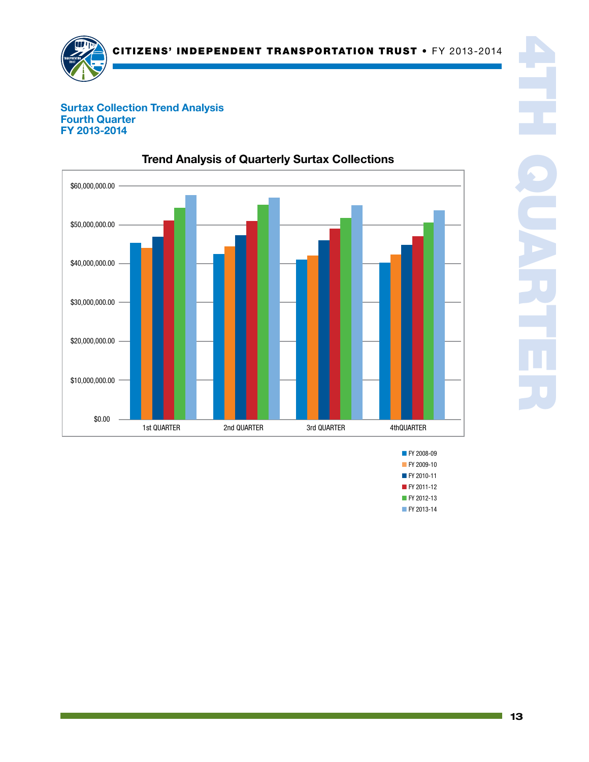

#### Surtax Collection Trend Analysis Surtax Collection Fourth Quarter Fourth Quarte<br>FY 2013-2014



## Trend Analysis of Quarterly Surtax Collections

**FY 2008-09 FY 2009-10** ■ FY 2010-11 ■ FY 2011-12 ■ FY 2012-13

■ FY 2013-14

4TH QUARTER